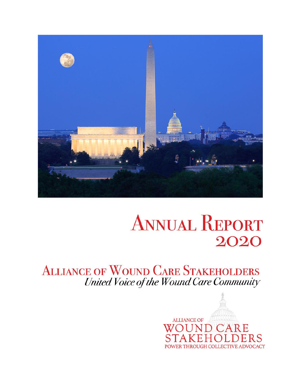

# **ANNUAL REPORT** 2020

**ALLIANCE OF WOUND CARE STAKEHOLDERS** United Voice of the Wound Care Community

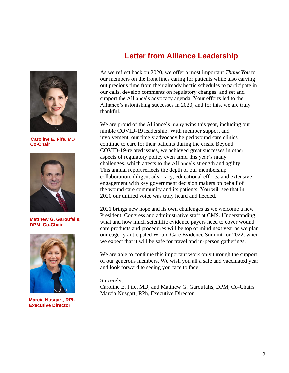

 **Caroline E. Fife, MD Co-Chair**



**Matthew G. Garoufalis, DPM, Co-Chair**



**Marcia Nusgart, RPh Executive Director**

### **Letter from Alliance Leadership**

As we reflect back on 2020, we offer a most important *Thank You* to our members on the front lines caring for patients while also carving out precious time from their already hectic schedules to participate in our calls, develop comments on regulatory changes, and set and support the Alliance's advocacy agenda. Your efforts led to the Alliance's astonishing successes in 2020, and for this, we are truly thankful.

We are proud of the Alliance's many wins this year, including our nimble COVID-19 leadership. With member support and involvement, our timely advocacy helped wound care clinics continue to care for their patients during the crisis. Beyond COVID-19-related issues, we achieved great successes in other aspects of regulatory policy even amid this year's many challenges, which attests to the Alliance's strength and agility. This annual report reflects the depth of our membership collaboration, diligent advocacy, educational efforts, and extensive engagement with key government decision makers on behalf of the wound care community and its patients. You will see that in 2020 our unified voice was truly heard and heeded.

2021 brings new hope and its own challenges as we welcome a new President, Congress and administrative staff at CMS. Understanding what and how much scientific evidence payers need to cover wound care products and procedures will be top of mind next year as we plan our eagerly anticipated Would Care Evidence Summit for 2022, when we expect that it will be safe for travel and in-person gatherings.

We are able to continue this important work only through the support of our generous members. We wish you all a safe and vaccinated year and look forward to seeing you face to face.

#### Sincerely,

Caroline E. Fife, MD, and Matthew G. Garoufalis, DPM, Co-Chairs Marcia Nusgart, RPh, Executive Director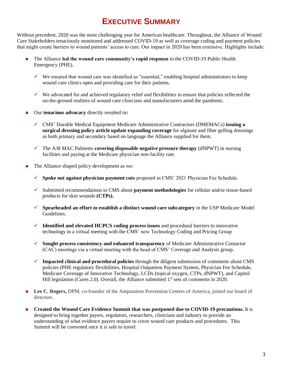# **EXECUTIVE SUMMARY**

Without precedent, 2020 was the most challenging year for American healthcare. Throughout, the Alliance of Wound Care Stakeholders tenaciously monitored and addressed COVID-19 as well as coverage coding and payment policies that might create barriers to wound patients' access to care. Our impact in 2020 has been extensive. Highlights include:

- ◼ The Alliance **led the wound care community's rapid response** to the COVID-19 Public Health Emergency (PHE).
	- $\checkmark$  We ensured that wound care was identified as "essential," enabling hospital administrators to keep wound care clinics open and providing care for their patients.
	- $\checkmark$  We advocated for and achieved regulatory relief and flexibilities to ensure that policies reflected the on-the-ground realities of wound care clinicians and manufacturers amid the pandemic.
- ◼ Our **tenacious advocacy** directly resulted in**:**
	- ✓ CMS' Durable Medical Equipment Medicare Administrative Contractors (DMEMACs) **issuing a surgical dressing policy article update expanding coverage** for alginate and fiber gelling dressings as both primary and secondary based on language the Alliance supplied for them.
	- $\checkmark$  The A/B MAC Palmetto **covering disposable negative pressure therapy** (dNPWT) in nursing facilities and paying at the Medicare physician non-facility rate.
- The Alliance shaped policy development as we:
	- ✓ **Spoke out against physician payment cuts** proposed in CMS' 2021 Physician Fee Schedule.
	- ✓ Submitted recommendations to CMS about **payment methodologies** for cellular and/or tissue-based products for skin wounds **(CTPs).**
	- ✓ **Spearheaded an effort to establish a distinct wound care subcategory** in the USP Medicare Model Guidelines.
	- ✓ **Identified and elevated HCPCS coding process issues** and procedural barriers to innovative technology in a virtual meeting with the CMS' new Technology Coding and Pricing Group
	- ✓ **Sought process consistency and enhanced transparency** of Medicare Administrative Contactor (CAC) meetings via a virtual meeting with the head of CMS' Coverage and Analysis group.
	- ✓ **Impacted clinical and procedural policies** through the diligent submission of comments about CMS policies (PHE regulatory flexibilities, Hospital Outpatient Payment System, Physician Fee Schedule, Medicare Coverage of Innovative Technology, LCDs (topical oxygen, CTPs, dNPWT), and Capitol Hill legislation (Cures 2.0). Overall, the Alliance submitted 17 sets of comments in 2020.
- Lee C. Rogers, DPM, co-founder of the Amputation Prevention Centers of America, joined our board of directors.
- ◼ **Created the Wound Care Evidence Summit that was postponed due to COVID-19 precautions.** It is designed to bring together payers, regulators, researchers, clinicians and industry to provide an understanding of what evidence payers require to cover wound care products and procedures. This Summit will be convened once it is safe to travel.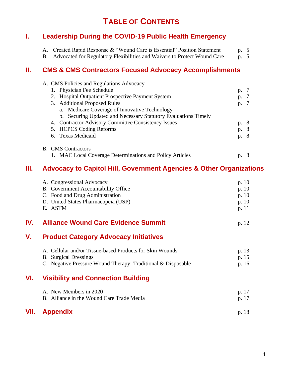## **TABLE OF CONTENTS**

#### **I. Leadership During the COVID-19 Public Health Emergency**

| A. Created Rapid Response & "Wound Care is Essential" Position Statement    | p. 5 |  |
|-----------------------------------------------------------------------------|------|--|
| B. Advocated for Regulatory Flexibilities and Waivers to Protect Wound Care | p. 5 |  |

#### **II. CMS & CMS Contractors Focused Advocacy Accomplishments**

|  | A. CMS Policies and Regulations Advocacy                       |      |  |
|--|----------------------------------------------------------------|------|--|
|  | 1. Physician Fee Schedule                                      | p.   |  |
|  | 2. Hospital Outpatient Prospective Payment System              | p.   |  |
|  | 3. Additional Proposed Rules                                   | p.   |  |
|  | a. Medicare Coverage of Innovative Technology                  |      |  |
|  | b. Securing Updated and Necessary Statutory Evaluations Timely |      |  |
|  | 4. Contractor Advisory Committee Consistency Issues            | p. 8 |  |
|  | 5. HCPCS Coding Reforms                                        | p. 8 |  |
|  | 6. Texas Medicaid                                              | p. 8 |  |
|  | <b>B.</b> CMS Contractors                                      |      |  |
|  | 1. MAC Local Coverage Determinations and Policy Articles       |      |  |

#### **III. Advocacy to Capitol Hill, Government Agencies & Other Organizations**

| A. Congressional Advocacy           | p. $10$ |
|-------------------------------------|---------|
| B. Government Accountability Office | p. $10$ |
| C. Food and Drug Administration     | p. $10$ |
| D. United States Pharmacopeia (USP) | p. $10$ |
| E. ASTM                             | p. 11   |
|                                     |         |

#### **IV. Alliance Wound Care Evidence Summit** p. 12

#### **V. Product Category Advocacy Initiatives**

| A. Cellular and/or Tissue-based Products for Skin Wounds     | p. 13 |
|--------------------------------------------------------------|-------|
| B. Surgical Dressings                                        | p. 15 |
| C. Negative Pressure Wound Therapy: Traditional & Disposable | p. 16 |

#### **VI. Visibility and Connection Building**

| A. New Members in 2020                    | p. 17 |
|-------------------------------------------|-------|
| B. Alliance in the Wound Care Trade Media | p. 17 |
|                                           |       |

#### **VII. Appendix** p. 18